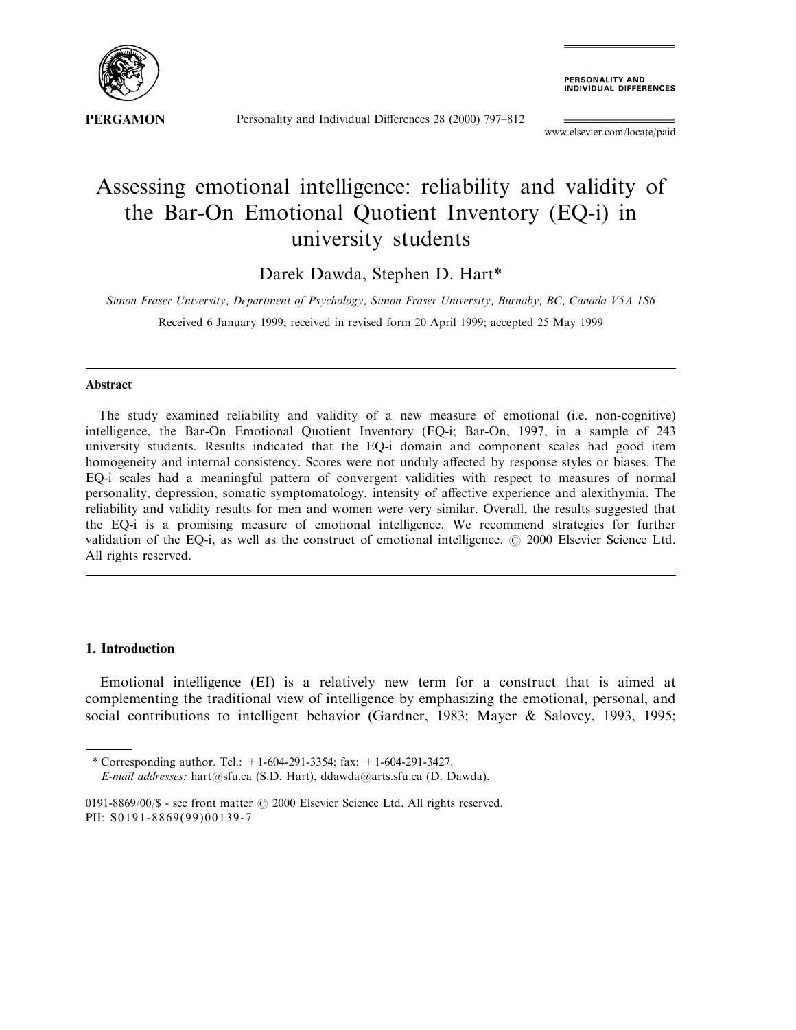

Personality and Individual Differences 28 (2000) 797-812

**PERSONALITY AND<br>INDIVIDUAL DIFFERENCES** 

www.elsevier.com/locate/paid

## Assessing emotional intelligence: reliability and validity of the Bar-On Emotional Quotient Inventory (EQ-i) in university students

Darek Dawda, Stephen D. Hart\*

Simon Fraser University, Department of Psychology, Simon Fraser University, Burnaby, BC, Canada V5A 1S6 Received 6 January 1999; received in revised form 20 April 1999; accepted 25 May 1999

## Abstract

The study examined reliability and validity of a new measure of emotional (i.e. non-cognitive) intelligence, the Bar-On Emotional Quotient Inventory (EQ-i; Bar-On, 1997, in a sample of 243 university students. Results indicated that the EQ-i domain and component scales had good item homogeneity and internal consistency. Scores were not unduly affected by response styles or biases. The EQ-i scales had a meaningful pattern of convergent validities with respect to measures of normal personality, depression, somatic symptomatology, intensity of affective experience and alexithymia. The reliability and validity results for men and women were very similar. Overall, the results suggested that the EQ-i is a promising measure of emotional intelligence. We recommend strategies for further validation of the EQ-i, as well as the construct of emotional intelligence.  $\odot$  2000 Elsevier Science Ltd. All rights reserved.

## 1. Introduction

Emotional intelligence (EI) is a relatively new term for a construct that is aimed at complementing the traditional view of intelligence by emphasizing the emotional, personal, and social contributions to intelligent behavior (Gardner, 1983; Mayer & Salovey, 1993, 1995;

<sup>\*</sup> Corresponding author. Tel.:  $+1-604-291-3354$ ; fax:  $+1-604-291-3427$ .

E-mail addresses: hart@sfu.ca (S.D. Hart), ddawda@arts.sfu.ca (D. Dawda).

<sup>0191-8869/00/\$ -</sup> see front matter  $\odot$  2000 Elsevier Science Ltd. All rights reserved. PII: S0191-8869(99)00139-7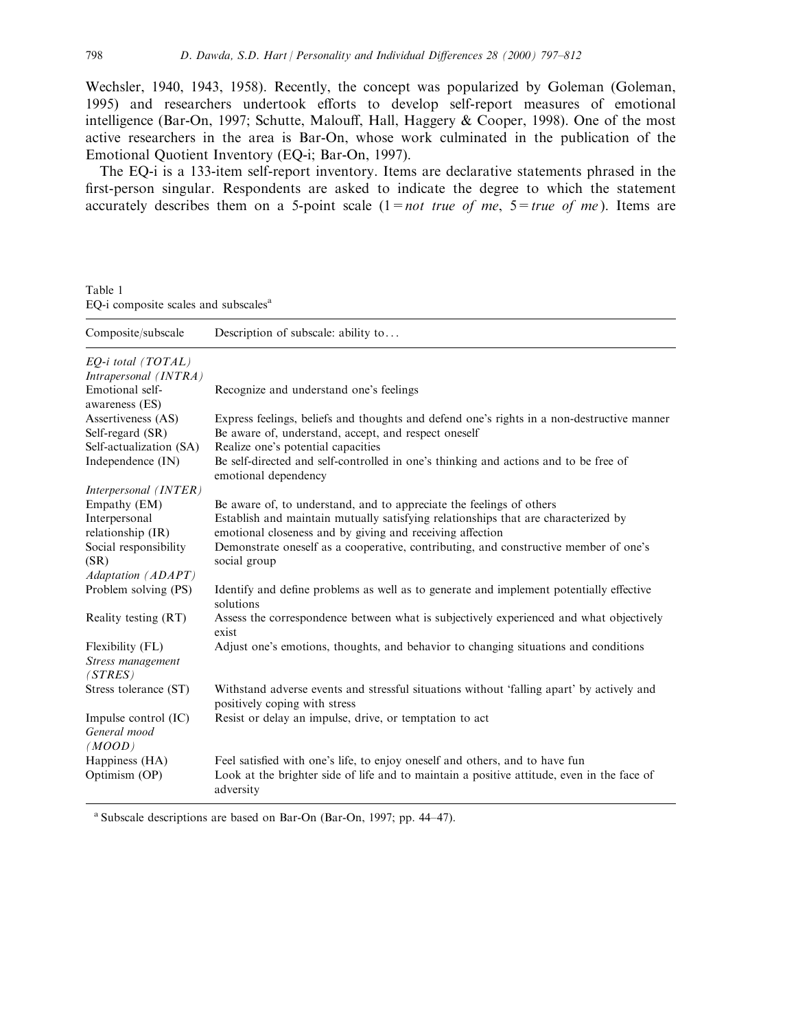Wechsler, 1940, 1943, 1958). Recently, the concept was popularized by Goleman (Goleman, 1995) and researchers undertook efforts to develop self-report measures of emotional intelligence (Bar-On, 1997; Schutte, Malouff, Hall, Haggery  $& Cooper, 1998$ ). One of the most active researchers in the area is Bar-On, whose work culminated in the publication of the Emotional Quotient Inventory (EQ-i; Bar-On, 1997).

The EQ-i is a 133-item self-report inventory. Items are declarative statements phrased in the first-person singular. Respondents are asked to indicate the degree to which the statement accurately describes them on a 5-point scale  $(1 = not true of me, 5 = true of me)$ . Items are

Table 1 EQ-i composite scales and subscales<sup>a</sup>

| Composite/subscale                               | Description of subscale: ability to                                                                                                                |
|--------------------------------------------------|----------------------------------------------------------------------------------------------------------------------------------------------------|
| EQ-i total (TOTAL)<br>Intrapersonal (INTRA)      |                                                                                                                                                    |
| Emotional self-<br>awareness (ES)                | Recognize and understand one's feelings                                                                                                            |
| Assertiveness (AS)<br>Self-regard (SR)           | Express feelings, beliefs and thoughts and defend one's rights in a non-destructive manner<br>Be aware of, understand, accept, and respect oneself |
| Self-actualization (SA)                          | Realize one's potential capacities                                                                                                                 |
| Independence (IN)                                | Be self-directed and self-controlled in one's thinking and actions and to be free of<br>emotional dependency                                       |
| Interpersonal (INTER)                            |                                                                                                                                                    |
| Empathy (EM)                                     | Be aware of, to understand, and to appreciate the feelings of others                                                                               |
| Interpersonal                                    | Establish and maintain mutually satisfying relationships that are characterized by                                                                 |
| relationship (IR)                                | emotional closeness and by giving and receiving affection                                                                                          |
| Social responsibility                            | Demonstrate oneself as a cooperative, contributing, and constructive member of one's                                                               |
| (SR)                                             | social group                                                                                                                                       |
| Adaptation (ADAPT)                               |                                                                                                                                                    |
| Problem solving (PS)                             | Identify and define problems as well as to generate and implement potentially effective<br>solutions                                               |
| Reality testing (RT)                             | Assess the correspondence between what is subjectively experienced and what objectively<br>exist                                                   |
| Flexibility (FL)<br>Stress management<br>(STRES) | Adjust one's emotions, thoughts, and behavior to changing situations and conditions                                                                |
| Stress tolerance (ST)                            | Withstand adverse events and stressful situations without 'falling apart' by actively and<br>positively coping with stress                         |
| Impulse control (IC)<br>General mood<br>(MOOD)   | Resist or delay an impulse, drive, or temptation to act                                                                                            |
| Happiness (HA)                                   | Feel satisfied with one's life, to enjoy oneself and others, and to have fun                                                                       |
| Optimism (OP)                                    | Look at the brighter side of life and to maintain a positive attitude, even in the face of<br>adversity                                            |

<sup>a</sup> Subscale descriptions are based on Bar-On (Bar-On, 1997; pp. 44 $-47$ ).